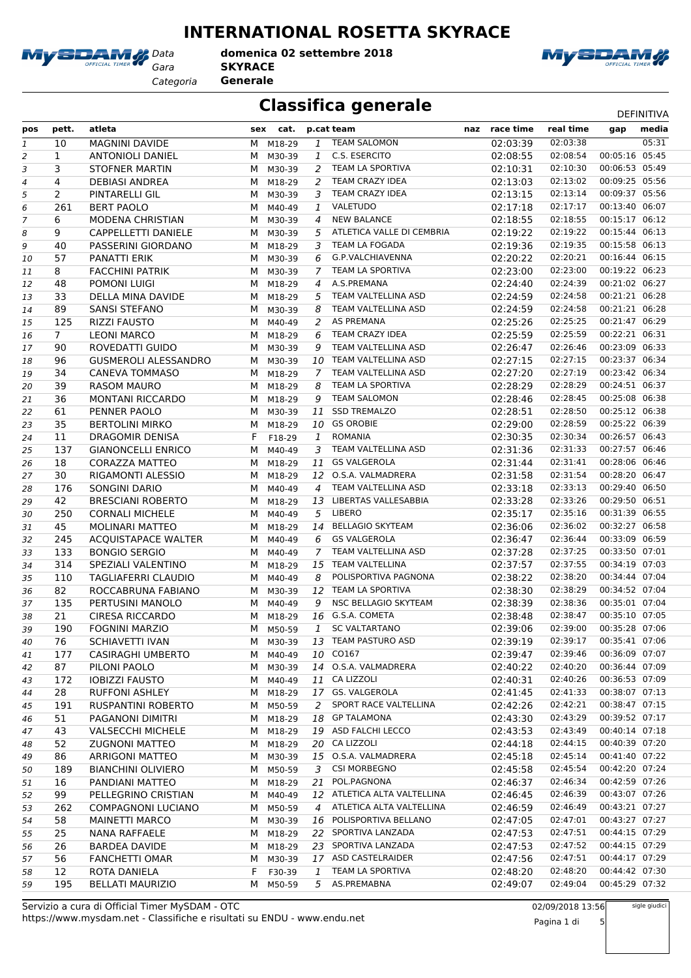### **INTERNATIONAL ROSETTA SKYRACE**



*Gara* **SKYRACE** *Categoria* **Generale domenica 02 settembre 2018**



### **Classifica generale** Definitival DEFINITIVA

| pos            | pett. | atleta                      |   | sex cat. |              | p.cat team                  | naz | race time | real time | media<br>gap   |
|----------------|-------|-----------------------------|---|----------|--------------|-----------------------------|-----|-----------|-----------|----------------|
| $\mathbf{1}$   | 10    | <b>MAGNINI DAVIDE</b>       | М | M18-29   | 1            | <b>TEAM SALOMON</b>         |     | 02:03:39  | 02:03:38  | 05:31          |
| 2              | 1     | <b>ANTONIOLI DANIEL</b>     | М | M30-39   | 1            | C.S. ESERCITO               |     | 02:08:55  | 02:08:54  | 00:05:16 05:45 |
| 3              | 3     | STOFNER MARTIN              | м | M30-39   | 2            | TEAM LA SPORTIVA            |     | 02:10:31  | 02:10:30  | 00:06:53 05:49 |
|                | 4     | <b>DEBIASI ANDREA</b>       |   | M18-29   | 2            | TEAM CRAZY IDEA             |     | 02:13:03  | 02:13:02  | 00:09:25 05:56 |
| 4              | 2     |                             | М |          |              | TEAM CRAZY IDEA             |     |           | 02:13:14  | 00:09:37 05:56 |
| 5              |       | PINTARELLI GIL              | М | M30-39   | 3            | VALETUDO                    |     | 02:13:15  | 02:17:17  | 00:13:40 06:07 |
| 6              | 261   | <b>BERT PAOLO</b>           | М | M40-49   | $\mathbf{1}$ | <b>NEW BALANCE</b>          |     | 02:17:18  |           | 00:15:17 06:12 |
| $\overline{7}$ | 6     | MODENA CHRISTIAN            | М | M30-39   | 4            | ATLETICA VALLE DI CEMBRIA   |     | 02:18:55  | 02:18:55  | 00:15:44 06:13 |
| 8              | 9     | CAPPELLETTI DANIELE         | М | M30-39   | 5            | <b>TEAM LA FOGADA</b>       |     | 02:19:22  | 02:19:22  | 00:15:58 06:13 |
| 9              | 40    | PASSERINI GIORDANO          | м | M18-29   | 3            |                             |     | 02:19:36  | 02:19:35  |                |
| 10             | 57    | PANATTI ERIK                | М | M30-39   | 6            | G.P.VALCHIAVENNA            |     | 02:20:22  | 02:20:21  | 00:16:44 06:15 |
| 11             | 8     | <b>FACCHINI PATRIK</b>      | М | M30-39   | 7            | <b>TEAM LA SPORTIVA</b>     |     | 02:23:00  | 02:23:00  | 00:19:22 06:23 |
| 12             | 48    | POMONI LUIGI                | М | M18-29   | 4            | A.S.PREMANA                 |     | 02:24:40  | 02:24:39  | 00:21:02 06:27 |
| 13             | 33    | DELLA MINA DAVIDE           | М | M18-29   | 5            | TEAM VALTELLINA ASD         |     | 02:24:59  | 02:24:58  | 00:21:21 06:28 |
| 14             | 89    | SANSI STEFANO               | М | M30-39   | 8            | TEAM VALTELLINA ASD         |     | 02:24:59  | 02:24:58  | 00:21:21 06:28 |
| 15             | 125   | RIZZI FAUSTO                | М | M40-49   | 2            | AS PREMANA                  |     | 02:25:26  | 02:25:25  | 00:21:47 06:29 |
| 16             | 7     | <b>LEONI MARCO</b>          | М | M18-29   | 6            | TEAM CRAZY IDEA             |     | 02:25:59  | 02:25:59  | 00:22:21 06:31 |
| 17             | 90    | ROVEDATTI GUIDO             | М | M30-39   | 9            | TEAM VALTELLINA ASD         |     | 02:26:47  | 02:26:46  | 00:23:09 06:33 |
| 18             | 96    | <b>GUSMEROLI ALESSANDRO</b> | М | M30-39   |              | 10 TEAM VALTELLINA ASD      |     | 02:27:15  | 02:27:15  | 00:23:37 06:34 |
| 19             | 34    | <b>CANEVA TOMMASO</b>       | м | M18-29   | 7            | TEAM VALTELLINA ASD         |     | 02:27:20  | 02:27:19  | 00:23:42 06:34 |
| 20             | 39    | RASOM MAURO                 | М | M18-29   | 8            | TEAM LA SPORTIVA            |     | 02:28:29  | 02:28:29  | 00:24:51 06:37 |
| 21             | 36    | <b>MONTANI RICCARDO</b>     | М | M18-29   | 9            | <b>TEAM SALOMON</b>         |     | 02:28:46  | 02:28:45  | 00:25:08 06:38 |
| 22             | 61    | PENNER PAOLO                | М | M30-39   |              | 11 SSD TREMALZO             |     | 02:28:51  | 02:28:50  | 00:25:12 06:38 |
| 23             | 35    | <b>BERTOLINI MIRKO</b>      | М | M18-29   |              | 10 GS OROBIE                |     | 02:29:00  | 02:28:59  | 00:25:22 06:39 |
| 24             | 11    | <b>DRAGOMIR DENISA</b>      | F | F18-29   | $\mathbf{1}$ | <b>ROMANIA</b>              |     | 02:30:35  | 02:30:34  | 00:26:57 06:43 |
| 25             | 137   | <b>GIANONCELLI ENRICO</b>   | М | M40-49   | 3            | TEAM VALTELLINA ASD         |     | 02:31:36  | 02:31:33  | 00:27:57 06:46 |
| 26             | 18    | CORAZZA MATTEO              | М | M18-29   |              | 11 GS VALGEROLA             |     | 02:31:44  | 02:31:41  | 00:28:06 06:46 |
| 27             | 30    | RIGAMONTI ALESSIO           | м | M18-29   |              | 12 O.S.A. VALMADRERA        |     | 02:31:58  | 02:31:54  | 00:28:20 06:47 |
| 28             | 176   | SONGINI DARIO               | м | M40-49   | 4            | TEAM VALTELLINA ASD         |     | 02:33:18  | 02:33:13  | 00:29:40 06:50 |
| 29             | 42    | <b>BRESCIANI ROBERTO</b>    | М | M18-29   |              | 13 LIBERTAS VALLESABBIA     |     | 02:33:28  | 02:33:26  | 00:29:50 06:51 |
| 30             | 250   | <b>CORNALI MICHELE</b>      | М | M40-49   | 5            | <b>LIBERO</b>               |     | 02:35:17  | 02:35:16  | 00:31:39 06:55 |
| 31             | 45    | <b>MOLINARI MATTEO</b>      | М | M18-29   | 14           | <b>BELLAGIO SKYTEAM</b>     |     | 02:36:06  | 02:36:02  | 00:32:27 06:58 |
| 32             | 245   | ACQUISTAPACE WALTER         | М | M40-49   | 6            | <b>GS VALGEROLA</b>         |     | 02:36:47  | 02:36:44  | 00:33:09 06:59 |
| 33             | 133   | <b>BONGIO SERGIO</b>        | м | M40-49   | 7            | TEAM VALTELLINA ASD         |     | 02:37:28  | 02:37:25  | 00:33:50 07:01 |
| 34             | 314   | SPEZIALI VALENTINO          | М | M18-29   |              | 15 TEAM VALTELLINA          |     | 02:37:57  | 02:37:55  | 00:34:19 07:03 |
| 35             | 110   | <b>TAGLIAFERRI CLAUDIO</b>  | М | M40-49   | 8            | POLISPORTIVA PAGNONA        |     | 02:38:22  | 02:38:20  | 00:34:44 07:04 |
| 36             | 82    | ROCCABRUNA FABIANO          | М | M30-39   |              | 12 TEAM LA SPORTIVA         |     | 02:38:30  | 02:38:29  | 00:34:52 07:04 |
| 37             | 135   | PERTUSINI MANOLO            | м | M40-49   | 9            | NSC BELLAGIO SKYTEAM        |     | 02:38:39  | 02:38:36  | 00:35:01 07:04 |
| 38             | 21    | <b>CIRESA RICCARDO</b>      | М | M18-29   |              | 16 G.S.A. COMETA            |     | 02:38:48  | 02:38:47  | 00:35:10 07:05 |
| 39             | 190   | <b>FOGNINI MARZIO</b>       |   | M M50-59 | $\mathbf{1}$ | <b>SC VALTARTANO</b>        |     | 02:39:06  | 02:39:00  | 00:35:28 07:06 |
| 40             | 76    | SCHIAVETTI IVAN             | м | M30-39   |              | 13 TEAM PASTURO ASD         |     | 02:39:19  | 02:39:17  | 00:35:41 07:06 |
| 41             | 177   | <b>CASIRAGHI UMBERTO</b>    | м | M40-49   |              | 10 CO167                    |     | 02:39:47  | 02:39:46  | 00:36:09 07:07 |
| 42             | 87    | PILONI PAOLO                | м | M30-39   |              | 14 O.S.A. VALMADRERA        |     | 02:40:22  | 02:40:20  | 00:36:44 07:09 |
| 43             | 172   | <b>IOBIZZI FAUSTO</b>       | м | M40-49   |              | 11 CA LIZZOLI               |     | 02:40:31  | 02:40:26  | 00:36:53 07:09 |
| 44             | 28    | <b>RUFFONI ASHLEY</b>       | М | M18-29   |              | 17 GS. VALGEROLA            |     | 02:41:45  | 02:41:33  | 00:38:07 07:13 |
| 45             | 191   | RUSPANTINI ROBERTO          | М | M50-59   | 2            | SPORT RACE VALTELLINA       |     | 02:42:26  | 02:42:21  | 00:38:47 07:15 |
| 46             | 51    | PAGANONI DIMITRI            | М | M18-29   |              | 18 GP TALAMONA              |     | 02:43:30  | 02:43:29  | 00:39:52 07:17 |
| 47             | 43    | <b>VALSECCHI MICHELE</b>    | M | M18-29   |              | 19 ASD FALCHI LECCO         |     | 02:43:53  | 02:43:49  | 00:40:14 07:18 |
| 48             | 52    | <b>ZUGNONI MATTEO</b>       | M | M18-29   |              | 20 CA LIZZOLI               |     | 02:44:18  | 02:44:15  | 00:40:39 07:20 |
| 49             | 86    | <b>ARRIGONI MATTEO</b>      | м | M30-39   |              | 15 O.S.A. VALMADRERA        |     | 02:45:18  | 02:45:14  | 00:41:40 07:22 |
| 50             | 189   | <b>BIANCHINI OLIVIERO</b>   | M | M50-59   | 3            | <b>CSI MORBEGNO</b>         |     | 02:45:58  | 02:45:54  | 00:42:20 07:24 |
| 51             | 16    | PANDIANI MATTEO             | М | M18-29   |              | 21 POL.PAGNONA              |     | 02:46:37  | 02:46:34  | 00:42:59 07:26 |
| 52             | 99    | PELLEGRINO CRISTIAN         | M | M40-49   |              | 12 ATLETICA ALTA VALTELLINA |     | 02:46:45  | 02:46:39  | 00:43:07 07:26 |
| 53             | 262   | COMPAGNONI LUCIANO          | M | M50-59   | 4            | ATLETICA ALTA VALTELLINA    |     | 02:46:59  | 02:46:49  | 00:43:21 07:27 |
| 54             | 58    | MAINETTI MARCO              | M | M30-39   |              | 16 POLISPORTIVA BELLANO     |     | 02:47:05  | 02:47:01  | 00:43:27 07:27 |
| 55             | 25    | NANA RAFFAELE               | М | M18-29   |              | 22 SPORTIVA LANZADA         |     | 02:47:53  | 02:47:51  | 00:44:15 07:29 |
| 56             | 26    | <b>BARDEA DAVIDE</b>        | М | M18-29   |              | 23 SPORTIVA LANZADA         |     | 02:47:53  | 02:47:52  | 00:44:15 07:29 |
| 57             | 56    | FANCHETTI OMAR              | М | M30-39   |              | 17 ASD CASTELRAIDER         |     | 02:47:56  | 02:47:51  | 00:44:17 07:29 |
| 58             | 12    | ROTA DANIELA                | F | F30-39   | 1            | TEAM LA SPORTIVA            |     | 02:48:20  | 02:48:20  | 00:44:42 07:30 |
| 59             | 195   | <b>BELLATI MAURIZIO</b>     | M | M50-59   |              | 5 AS.PREMABNA               |     | 02:49:07  | 02:49:04  | 00:45:29 07:32 |
|                |       |                             |   |          |              |                             |     |           |           |                |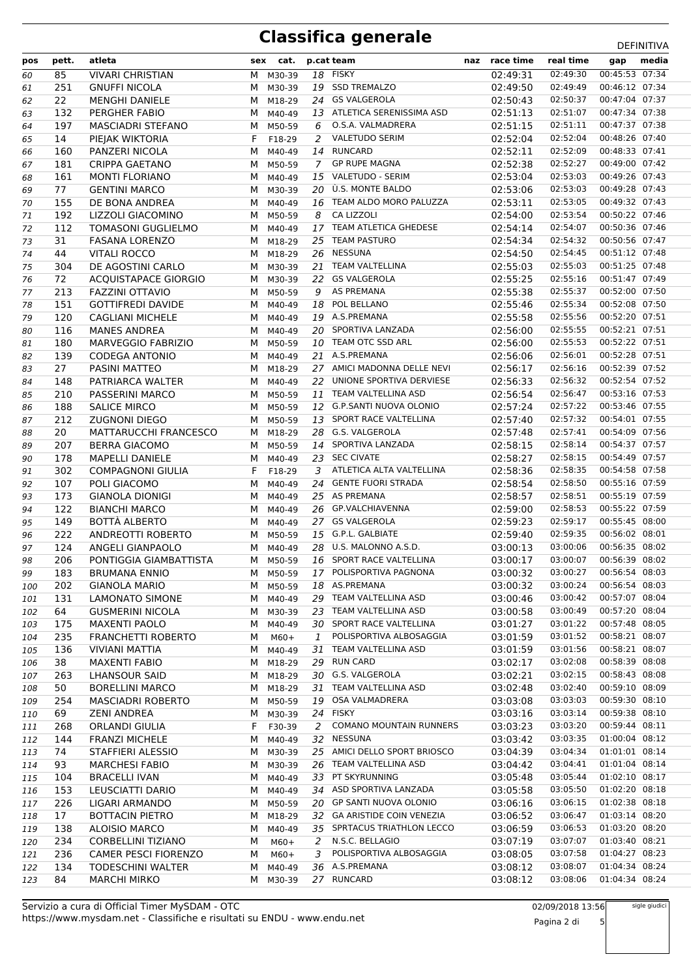| pos | pett. | atleta                       |    | sex cat. |               | p.cat team                                                        | naz | race time | real time | gap            | media |
|-----|-------|------------------------------|----|----------|---------------|-------------------------------------------------------------------|-----|-----------|-----------|----------------|-------|
| 60  | 85    | <b>VIVARI CHRISTIAN</b>      | м  | M30-39   |               | $18$ FISKY                                                        |     | 02:49:31  | 02:49:30  | 00:45:53 07:34 |       |
| 61  | 251   | <b>GNUFFI NICOLA</b>         | м  | M30-39   | 19            | <b>SSD TREMALZO</b>                                               |     | 02:49:50  | 02:49:49  | 00:46:12 07:34 |       |
| 62  | 22    | <b>MENGHI DANIELE</b>        | М  | M18-29   |               | 24 GS VALGEROLA                                                   |     | 02:50:43  | 02:50:37  | 00:47:04 07:37 |       |
| 63  | 132   | PERGHER FABIO                | М  | M40-49   | 13            | ATLETICA SERENISSIMA ASD                                          |     | 02:51:13  | 02:51:07  | 00:47:34 07:38 |       |
| 64  | 197   | <b>MASCIADRI STEFANO</b>     | М  | M50-59   | 6             | O.S.A. VALMADRERA                                                 |     | 02:51:15  | 02:51:11  | 00:47:37 07:38 |       |
| 65  | 14    | PIEJAK WIKTORIA              | F  | F18-29   | 2             | <b>VALETUDO SERIM</b>                                             |     | 02:52:04  | 02:52:04  | 00:48:26 07:40 |       |
| 66  | 160   | PANZERI NICOLA               | М  | M40-49   | 14            | RUNCARD                                                           |     | 02:52:11  | 02:52:09  | 00:48:33 07:41 |       |
| 67  | 181   | <b>CRIPPA GAETANO</b>        | М  | M50-59   | $\mathcal{I}$ | <b>GP RUPE MAGNA</b>                                              |     | 02:52:38  | 02:52:27  | 00:49:00 07:42 |       |
| 68  | 161   | <b>MONTI FLORIANO</b>        | М  | M40-49   |               | 15 VALETUDO - SERIM                                               |     | 02:53:04  | 02:53:03  | 00:49:26 07:43 |       |
| 69  | 77    | <b>GENTINI MARCO</b>         | М  | M30-39   | 20            | U.S. MONTE BALDO                                                  |     | 02:53:06  | 02:53:03  | 00:49:28 07:43 |       |
| 70  | 155   | DE BONA ANDREA               | М  | M40-49   | 16            | TEAM ALDO MORO PALUZZA                                            |     | 02:53:11  | 02:53:05  | 00:49:32 07:43 |       |
| 71  | 192   | LIZZOLI GIACOMINO            | М  | M50-59   | 8             | CA LIZZOLI                                                        |     | 02:54:00  | 02:53:54  | 00:50:22 07:46 |       |
| 72  | 112   | <b>TOMASONI GUGLIELMO</b>    | м  | M40-49   |               | 17 TEAM ATLETICA GHEDESE                                          |     | 02:54:14  | 02:54:07  | 00:50:36 07:46 |       |
| 73  | 31    | <b>FASANA LORENZO</b>        | М  | M18-29   | 25            | <b>TEAM PASTURO</b>                                               |     | 02:54:34  | 02:54:32  | 00:50:56 07:47 |       |
| 74  | 44    | <b>VITALI ROCCO</b>          | м  | M18-29   |               | 26 NESSUNA                                                        |     | 02:54:50  | 02:54:45  | 00:51:12 07:48 |       |
| 75  | 304   | DE AGOSTINI CARLO            | М  | M30-39   |               | 21 TEAM VALTELLINA                                                |     | 02:55:03  | 02:55:03  | 00:51:25 07:48 |       |
| 76  | 72    | <b>ACQUISTAPACE GIORGIO</b>  | М  | M30-39   | 22            | <b>GS VALGEROLA</b>                                               |     | 02:55:25  | 02:55:16  | 00:51:47 07:49 |       |
| 77  | 213   | <b>FAZZINI OTTAVIO</b>       | М  | M50-59   | 9             | AS PREMANA                                                        |     | 02:55:38  | 02:55:37  | 00:52:00 07:50 |       |
| 78  | 151   | <b>GOTTIFREDI DAVIDE</b>     | М  | M40-49   | 18            | POL BELLANO                                                       |     | 02:55:46  | 02:55:34  | 00:52:08 07:50 |       |
| 79  | 120   | <b>CAGLIANI MICHELE</b>      | М  | M40-49   | 19            | A.S.PREMANA                                                       |     | 02:55:58  | 02:55:56  | 00:52:20 07:51 |       |
| 80  | 116   | <b>MANES ANDREA</b>          | М  | M40-49   |               | 20 SPORTIVA LANZADA                                               |     | 02:56:00  | 02:55:55  | 00:52:21 07:51 |       |
| 81  | 180   | MARVEGGIO FABRIZIO           | м  | M50-59   |               | 10 TEAM OTC SSD ARL                                               |     | 02:56:00  | 02:55:53  | 00:52:22 07:51 |       |
| 82  | 139   | <b>CODEGA ANTONIO</b>        | М  | M40-49   |               | 21 A.S.PREMANA                                                    |     | 02:56:06  | 02:56:01  | 00:52:28 07:51 |       |
| 83  | 27    | PASINI MATTEO                | М  | M18-29   |               | 27 AMICI MADONNA DELLE NEVI                                       |     | 02:56:17  | 02:56:16  | 00:52:39 07:52 |       |
| 84  | 148   | PATRIARCA WALTER             | м  | M40-49   |               | 22 UNIONE SPORTIVA DERVIESE                                       |     | 02:56:33  | 02:56:32  | 00:52:54 07:52 |       |
| 85  | 210   | PASSERINI MARCO              | м  | M50-59   |               | 11 TEAM VALTELLINA ASD                                            |     | 02:56:54  | 02:56:47  | 00:53:16 07:53 |       |
| 86  | 188   | <b>SALICE MIRCO</b>          | м  | M50-59   |               | 12 G.P.SANTI NUOVA OLONIO                                         |     | 02:57:24  | 02:57:22  | 00:53:46 07:55 |       |
| 87  | 212   | <b>ZUGNONI DIEGO</b>         | м  | M50-59   |               | 13 SPORT RACE VALTELLINA                                          |     | 02:57:40  | 02:57:32  | 00:54:01 07:55 |       |
| 88  | 20    | <b>MATTARUCCHI FRANCESCO</b> | М  | M18-29   |               | 28 G.S. VALGEROLA                                                 |     | 02:57:48  | 02:57:41  | 00:54:09 07:56 |       |
| 89  | 207   | <b>BERRA GIACOMO</b>         | М  | M50-59   |               | 14 SPORTIVA LANZADA                                               |     | 02:58:15  | 02:58:14  | 00:54:37 07:57 |       |
| 90  | 178   | <b>MAPELLI DANIELE</b>       | М  | M40-49   |               | 23 SEC CIVATE                                                     |     | 02:58:27  | 02:58:15  | 00:54:49 07:57 |       |
| 91  | 302   | <b>COMPAGNONI GIULIA</b>     | F  | F18-29   | 3             | ATLETICA ALTA VALTELLINA                                          |     | 02:58:36  | 02:58:35  | 00:54:58 07:58 |       |
| 92  | 107   | POLI GIACOMO                 | М  | M40-49   |               | 24 GENTE FUORI STRADA                                             |     | 02:58:54  | 02:58:50  | 00:55:16 07:59 |       |
| 93  | 173   | <b>GIANOLA DIONIGI</b>       | М  | M40-49   |               | 25 AS PREMANA                                                     |     | 02:58:57  | 02:58:51  | 00:55:19 07:59 |       |
| 94  | 122   | <b>BIANCHI MARCO</b>         | М  | M40-49   |               | 26 GP.VALCHIAVENNA                                                |     | 02:59:00  | 02:58:53  | 00:55:22 07:59 |       |
| 95  | 149   | <b>BOTTÀ ALBERTO</b>         | М  | M40-49   |               | 27 GS VALGEROLA                                                   |     | 02:59:23  | 02:59:17  | 00:55:45 08:00 |       |
| 96  | 222   | <b>ANDREOTTI ROBERTO</b>     | м  | M50-59   |               | 15 G.P.L. GALBIATE                                                |     | 02:59:40  | 02:59:35  | 00:56:02 08:01 |       |
| 97  | 124   | <b>ANGELI GIANPAOLO</b>      | м  | M40-49   |               | 28 U.S. MALONNO A.S.D.                                            |     | 03:00:13  | 03:00:06  | 00:56:35 08:02 |       |
| 98  | 206   | PONTIGGIA GIAMBATTISTA       | м  | M50-59   |               | 16 SPORT RACE VALTELLINA                                          |     | 03:00:17  | 03:00:07  | 00:56:39 08:02 |       |
| 99  | 183   | BRUMANA ENNIO                |    |          |               | M M50-59 17 POLISPORTIVA PAGNONA 03:00:32 03:00:27 00:56:54 08:03 |     |           |           |                |       |
| 100 | 202   | <b>GIANOLA MARIO</b>         | м  | M50-59   | 18            | AS.PREMANA                                                        |     | 03:00:32  | 03:00:24  | 00:56:54 08:03 |       |
| 101 | 131   | <b>LAMONATO SIMONE</b>       | м  | M40-49   | 29            | TEAM VALTELLINA ASD                                               |     | 03:00:46  | 03:00:42  | 00:57:07 08:04 |       |
| 102 | 64    | <b>GUSMERINI NICOLA</b>      | м  | M30-39   |               | 23 TEAM VALTELLINA ASD                                            |     | 03:00:58  | 03:00:49  | 00:57:20 08:04 |       |
| 103 | 175   | <b>MAXENTI PAOLO</b>         | м  | M40-49   | 30            | SPORT RACE VALTELLINA                                             |     | 03:01:27  | 03:01:22  | 00:57:48 08:05 |       |
| 104 | 235   | <b>FRANCHETTI ROBERTO</b>    | М  | $M60+$   | 1             | POLISPORTIVA ALBOSAGGIA                                           |     | 03:01:59  | 03:01:52  | 00:58:21 08:07 |       |
| 105 | 136   | VIVIANI MATTIA               | м  | M40-49   | 31            | TEAM VALTELLINA ASD                                               |     | 03:01:59  | 03:01:56  | 00:58:21 08:07 |       |
| 106 | 38    | <b>MAXENTI FABIO</b>         | м  | M18-29   | 29            | <b>RUN CARD</b>                                                   |     | 03:02:17  | 03:02:08  | 00:58:39 08:08 |       |
| 107 | 263   | LHANSOUR SAID                | М  | M18-29   |               | 30 G.S. VALGEROLA                                                 |     | 03:02:21  | 03:02:15  | 00:58:43 08:08 |       |
| 108 | 50    | <b>BORELLINI MARCO</b>       | м  | M18-29   |               | 31 TEAM VALTELLINA ASD                                            |     | 03:02:48  | 03:02:40  | 00:59:10 08:09 |       |
| 109 | 254   | <b>MASCIADRI ROBERTO</b>     | м  | M50-59   | 19            | OSA VALMADRERA                                                    |     | 03:03:08  | 03:03:03  | 00:59:30 08:10 |       |
| 110 | 69    | <b>ZENI ANDREA</b>           | м  | M30-39   |               | 24 FISKY                                                          |     | 03:03:16  | 03:03:14  | 00:59:38 08:10 |       |
| 111 | 268   | ORLANDI GIULIA               | F. | F30-39   | 2             | <b>COMANO MOUNTAIN RUNNERS</b>                                    |     | 03:03:23  | 03:03:20  | 00:59:44 08:11 |       |
| 112 | 144   | <b>FRANZI MICHELE</b>        | М  | M40-49   | 32            | NESSUNA                                                           |     | 03:03:42  | 03:03:35  | 01:00:04 08:12 |       |
| 113 | 74    | STAFFIERI ALESSIO            | М  | M30-39   |               | 25 AMICI DELLO SPORT BRIOSCO                                      |     | 03:04:39  | 03:04:34  | 01:01:01 08:14 |       |
| 114 | 93    | <b>MARCHESI FABIO</b>        | м  | M30-39   |               | 26 TEAM VALTELLINA ASD                                            |     | 03:04:42  | 03:04:41  | 01:01:04 08:14 |       |
| 115 | 104   | <b>BRACELLI IVAN</b>         | м  | M40-49   | 33            | PT SKYRUNNING                                                     |     | 03:05:48  | 03:05:44  | 01:02:10 08:17 |       |
| 116 | 153   | LEUSCIATTI DARIO             | м  | M40-49   | 34            | ASD SPORTIVA LANZADA                                              |     | 03:05:58  | 03:05:50  | 01:02:20 08:18 |       |
| 117 | 226   | LIGARI ARMANDO               | м  | M50-59   | 20            | GP SANTI NUOVA OLONIO                                             |     | 03:06:16  | 03:06:15  | 01:02:38 08:18 |       |
| 118 | 17    | <b>BOTTACIN PIETRO</b>       | м  | M18-29   | 32            | <b>GA ARISTIDE COIN VENEZIA</b>                                   |     | 03:06:52  | 03:06:47  | 01:03:14 08:20 |       |
| 119 | 138   | ALOISIO MARCO                | М  | M40-49   | 35            | SPRTACUS TRIATHLON LECCO                                          |     | 03:06:59  | 03:06:53  | 01:03:20 08:20 |       |
| 120 | 234   | <b>CORBELLINI TIZIANO</b>    | М  | $M60+$   | 2             | N.S.C. BELLAGIO                                                   |     | 03:07:19  | 03:07:07  | 01:03:40 08:21 |       |
| 121 | 236   | <b>CAMER PESCI FIORENZO</b>  | М  | $M60+$   | 3             | POLISPORTIVA ALBOSAGGIA                                           |     | 03:08:05  | 03:07:58  | 01:04:27 08:23 |       |
| 122 | 134   | <b>TODESCHINI WALTER</b>     | М  | M40-49   |               | 36 A.S.PREMANA                                                    |     | 03:08:12  | 03:08:07  | 01:04:34 08:24 |       |
| 123 | 84    | <b>MARCHI MIRKO</b>          |    | M M30-39 |               | 27 RUNCARD                                                        |     | 03:08:12  | 03:08:06  | 01:04:34 08:24 |       |
|     |       |                              |    |          |               |                                                                   |     |           |           |                |       |

Pagina 2 di 5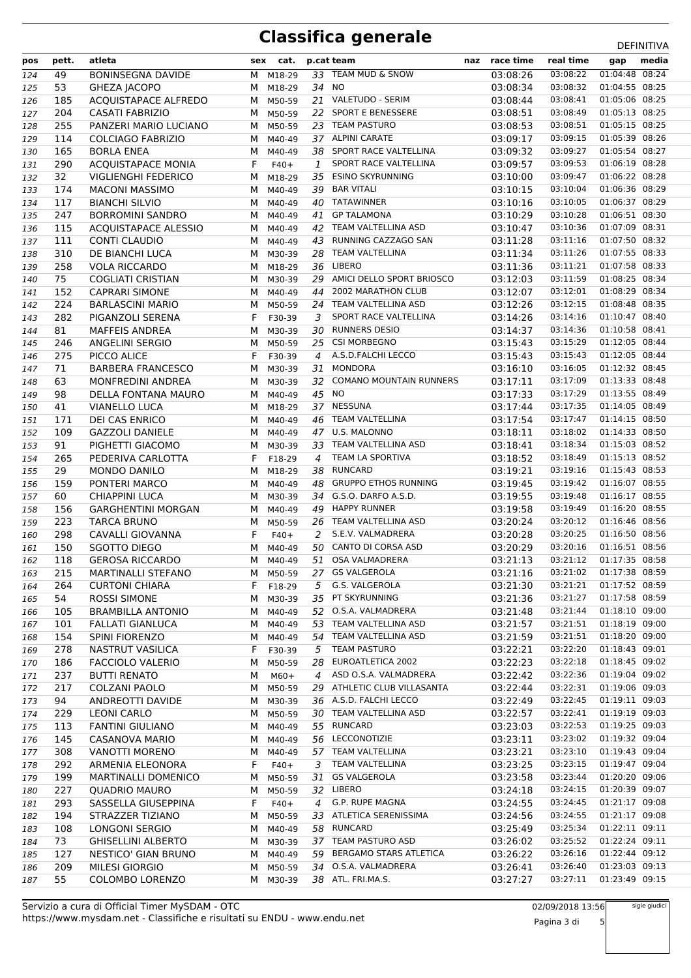| pos | pett. | atleta                      | sex | cat.     |    | p.cat team                     | naz | race time | real time | gap            | media |
|-----|-------|-----------------------------|-----|----------|----|--------------------------------|-----|-----------|-----------|----------------|-------|
| 124 | 49    | <b>BONINSEGNA DAVIDE</b>    | м   | M18-29   | 33 | <b>TEAM MUD &amp; SNOW</b>     |     | 03:08:26  | 03:08:22  | 01:04:48 08:24 |       |
| 125 | 53    | <b>GHEZA JACOPO</b>         | М   | M18-29   |    | 34 NO                          |     | 03:08:34  | 03:08:32  | 01:04:55 08:25 |       |
| 126 | 185   | ACQUISTAPACE ALFREDO        | м   | M50-59   |    | 21 VALETUDO - SERIM            |     | 03:08:44  | 03:08:41  | 01:05:06 08:25 |       |
| 127 | 204   | <b>CASATI FABRIZIO</b>      | м   | M50-59   | 22 | <b>SPORT E BENESSERE</b>       |     | 03:08:51  | 03:08:49  | 01:05:13 08:25 |       |
| 128 | 255   | PANZERI MARIO LUCIANO       | м   | M50-59   |    | 23 TEAM PASTURO                |     | 03:08:53  | 03:08:51  | 01:05:15 08:25 |       |
| 129 | 114   | COLCIAGO FABRIZIO           | м   | M40-49   |    | 37 ALPINI CARATE               |     | 03:09:17  | 03:09:15  | 01:05:39 08:26 |       |
| 130 | 165   | <b>BORLA ENEA</b>           | м   | M40-49   | 38 | SPORT RACE VALTELLINA          |     | 03:09:32  | 03:09:27  | 01:05:54 08:27 |       |
| 131 | 290   | <b>ACQUISTAPACE MONIA</b>   | F   | $F40+$   | 1  | SPORT RACE VALTELLINA          |     | 03:09:57  | 03:09:53  | 01:06:19 08:28 |       |
| 132 | 32    | <b>VIGLIENGHI FEDERICO</b>  | м   | M18-29   | 35 | <b>ESINO SKYRUNNING</b>        |     | 03:10:00  | 03:09:47  | 01:06:22 08:28 |       |
| 133 | 174   | <b>MACONI MASSIMO</b>       | м   | M40-49   | 39 | <b>BAR VITALI</b>              |     | 03:10:15  | 03:10:04  | 01:06:36 08:29 |       |
| 134 | 117   | <b>BIANCHI SILVIO</b>       | м   | M40-49   |    | 40 TATAWINNER                  |     | 03:10:16  | 03:10:05  | 01:06:37 08:29 |       |
| 135 | 247   | <b>BORROMINI SANDRO</b>     | м   | M40-49   | 41 | <b>GP TALAMONA</b>             |     | 03:10:29  | 03:10:28  | 01:06:51 08:30 |       |
| 136 | 115   | <b>ACQUISTAPACE ALESSIO</b> | м   | M40-49   | 42 | TEAM VALTELLINA ASD            |     | 03:10:47  | 03:10:36  | 01:07:09 08:31 |       |
| 137 | 111   | CONTI CLAUDIO               | м   | M40-49   | 43 | RUNNING CAZZAGO SAN            |     | 03:11:28  | 03:11:16  | 01:07:50 08:32 |       |
| 138 | 310   | DE BIANCHI LUCA             | м   | M30-39   | 28 | <b>TEAM VALTELLINA</b>         |     | 03:11:34  | 03:11:26  | 01:07:55 08:33 |       |
| 139 | 258   | <b>VOLA RICCARDO</b>        | м   | M18-29   | 36 | <b>LIBERO</b>                  |     | 03:11:36  | 03:11:21  | 01:07:58 08:33 |       |
| 140 | 75    | COGLIATI CRISTIAN           | м   | M30-39   | 29 | AMICI DELLO SPORT BRIOSCO      |     | 03:12:03  | 03:11:59  | 01:08:25 08:34 |       |
| 141 | 152   | <b>CAPRARI SIMONE</b>       | м   | M40-49   | 44 | <b>2002 MARATHON CLUB</b>      |     | 03:12:07  | 03:12:01  | 01:08:29 08:34 |       |
| 142 | 224   | <b>BARLASCINI MARIO</b>     | м   | M50-59   | 24 | TEAM VALTELLINA ASD            |     | 03:12:26  | 03:12:15  | 01:08:48 08:35 |       |
| 143 | 282   | PIGANZOLI SERENA            | F   | F30-39   | 3  | SPORT RACE VALTELLINA          |     | 03:14:26  | 03:14:16  | 01:10:47 08:40 |       |
| 144 | 81    | <b>MAFFEIS ANDREA</b>       | м   | M30-39   | 30 | <b>RUNNERS DESIO</b>           |     | 03:14:37  | 03:14:36  | 01:10:58 08:41 |       |
| 145 | 246   | ANGELINI SERGIO             | м   | M50-59   | 25 | <b>CSI MORBEGNO</b>            |     | 03:15:43  | 03:15:29  | 01:12:05 08:44 |       |
| 146 | 275   | PICCO ALICE                 | F   | F30-39   | 4  | A.S.D.FALCHI LECCO             |     | 03:15:43  | 03:15:43  | 01:12:05 08:44 |       |
| 147 | 71    | <b>BARBERA FRANCESCO</b>    | м   | M30-39   | 31 | <b>MONDORA</b>                 |     | 03:16:10  | 03:16:05  | 01:12:32 08:45 |       |
| 148 | 63    | <b>MONFREDINI ANDREA</b>    | м   | M30-39   | 32 | <b>COMANO MOUNTAIN RUNNERS</b> |     | 03:17:11  | 03:17:09  | 01:13:33 08:48 |       |
| 149 | 98    | DELLA FONTANA MAURO         | м   | M40-49   | 45 | <b>NO</b>                      |     | 03:17:33  | 03:17:29  | 01:13:55 08:49 |       |
| 150 | 41    | <b>VIANELLO LUCA</b>        | м   | M18-29   |    | 37 NESSUNA                     |     | 03:17:44  | 03:17:35  | 01:14:05 08:49 |       |
| 151 | 171   | DEI CAS ENRICO              | м   | M40-49   | 46 | TEAM VALTELLINA                |     | 03:17:54  | 03:17:47  | 01:14:15 08:50 |       |
| 152 | 109   | <b>GAZZOLI DANIELE</b>      | м   | M40-49   |    | 47 U.S. MALONNO                |     | 03:18:11  | 03:18:02  | 01:14:33 08:50 |       |
| 153 | 91    | PIGHETTI GIACOMO            | м   | M30-39   |    | 33 TEAM VALTELLINA ASD         |     | 03:18:41  | 03:18:34  | 01:15:03 08:52 |       |
| 154 | 265   | PEDERIVA CARLOTTA           | F   | F18-29   | 4  | TEAM LA SPORTIVA               |     | 03:18:52  | 03:18:49  | 01:15:13 08:52 |       |
| 155 | 29    | MONDO DANILO                | м   | M18-29   | 38 | RUNCARD                        |     | 03:19:21  | 03:19:16  | 01:15:43 08:53 |       |
| 156 | 159   | PONTERI MARCO               | м   | M40-49   | 48 | <b>GRUPPO ETHOS RUNNING</b>    |     | 03:19:45  | 03:19:42  | 01:16:07 08:55 |       |
| 157 | 60    | CHIAPPINI LUCA              | м   | M30-39   | 34 | G.S.O. DARFO A.S.D.            |     | 03:19:55  | 03:19:48  | 01:16:17 08:55 |       |
| 158 | 156   | <b>GARGHENTINI MORGAN</b>   | м   | M40-49   | 49 | <b>HAPPY RUNNER</b>            |     | 03:19:58  | 03:19:49  | 01:16:20 08:55 |       |
| 159 | 223   | <b>TARCA BRUNO</b>          | м   | M50-59   | 26 | TEAM VALTELLINA ASD            |     | 03:20:24  | 03:20:12  | 01:16:46 08:56 |       |
| 160 | 298   | CAVALLI GIOVANNA            | F   | $F40+$   | 2  | S.E.V. VALMADRERA              |     | 03:20:28  | 03:20:25  | 01:16:50 08:56 |       |
| 161 | 150   | SGOTTO DIEGO                | м   | M40-49   | 50 | CANTO DI CORSA ASD             |     | 03:20:29  | 03:20:16  | 01:16:51 08:56 |       |
| 162 | 118   | <b>GEROSA RICCARDO</b>      |     | M M40-49 |    | 51 OSA VALMADRERA              |     | 03:21:13  | 03:21:12  | 01:17:35 08:58 |       |
| 163 | 215   | MARTINALLI STEFANO          |     | M M50-59 |    | 27 GS VALGEROLA                |     | 03:21:16  | 03:21:02  | 01:17:38 08:59 |       |
| 164 | 264   | <b>CURTONI CHIARA</b>       | F.  | F18-29   |    | 5 G.S. VALGEROLA               |     | 03:21:30  | 03:21:21  | 01:17:52 08:59 |       |
| 165 | 54    | <b>ROSSI SIMONE</b>         | м   | M30-39   | 35 | PT SKYRUNNING                  |     | 03:21:36  | 03:21:27  | 01:17:58 08:59 |       |
| 166 | 105   | <b>BRAMBILLA ANTONIO</b>    | м   | M40-49   | 52 | O.S.A. VALMADRERA              |     | 03:21:48  | 03:21:44  | 01:18:10 09:00 |       |
| 167 | 101   | FALLATI GIANLUCA            | м   | M40-49   | 53 | TEAM VALTELLINA ASD            |     | 03:21:57  | 03:21:51  | 01:18:19 09:00 |       |
| 168 | 154   | <b>SPINI FIORENZO</b>       | м   | M40-49   | 54 | TEAM VALTELLINA ASD            |     | 03:21:59  | 03:21:51  | 01:18:20 09:00 |       |
| 169 | 278   | NASTRUT VASILICA            | F.  | F30-39   | 5  | <b>TEAM PASTURO</b>            |     | 03:22:21  | 03:22:20  | 01:18:43 09:01 |       |
| 170 | 186   | FACCIOLO VALERIO            | М   | M50-59   | 28 | EUROATLETICA 2002              |     | 03:22:23  | 03:22:18  | 01:18:45 09:02 |       |
| 171 | 237   | <b>BUTTI RENATO</b>         | м   | $M60+$   | 4  | ASD O.S.A. VALMADRERA          |     | 03:22:42  | 03:22:36  | 01:19:04 09:02 |       |
| 172 | 217   | <b>COLZANI PAOLO</b>        | м   | M50-59   | 29 | ATHLETIC CLUB VILLASANTA       |     | 03:22:44  | 03:22:31  | 01:19:06 09:03 |       |
| 173 | 94    | ANDREOTTI DAVIDE            | м   | M30-39   | 36 | A.S.D. FALCHI LECCO            |     | 03:22:49  | 03:22:45  | 01:19:11 09:03 |       |
| 174 | 229   | <b>LEONI CARLO</b>          | м   | M50-59   |    | 30 TEAM VALTELLINA ASD         |     | 03:22:57  | 03:22:41  | 01:19:19 09:03 |       |
| 175 | 113   | <b>FANTINI GIULIANO</b>     | м   | M40-49   |    | 55 RUNCARD                     |     | 03:23:03  | 03:22:53  | 01:19:25 09:03 |       |
| 176 | 145   | CASANOVA MARIO              | м   | M40-49   | 56 | LECCONOTIZIE                   |     | 03:23:11  | 03:23:02  | 01:19:32 09:04 |       |
| 177 | 308   | VANOTTI MORENO              | м   | M40-49   |    | 57 TEAM VALTELLINA             |     | 03:23:21  | 03:23:10  | 01:19:43 09:04 |       |
| 178 | 292   | ARMENIA ELEONORA            | F.  | $F40+$   | 3  | TEAM VALTELLINA                |     | 03:23:25  | 03:23:15  | 01:19:47 09:04 |       |
| 179 | 199   | <b>MARTINALLI DOMENICO</b>  | м   | M50-59   | 31 | <b>GS VALGEROLA</b>            |     | 03:23:58  | 03:23:44  | 01:20:20 09:06 |       |
| 180 | 227   | <b>QUADRIO MAURO</b>        | м   | M50-59   |    | 32 LIBERO                      |     | 03:24:18  | 03:24:15  | 01:20:39 09:07 |       |
| 181 | 293   | SASSELLA GIUSEPPINA         | F.  | $F40+$   | 4  | G.P. RUPE MAGNA                |     | 03:24:55  | 03:24:45  | 01:21:17 09:08 |       |
| 182 | 194   | STRAZZER TIZIANO            | М   | M50-59   | 33 | ATLETICA SERENISSIMA           |     | 03:24:56  | 03:24:55  | 01:21:17 09:08 |       |
| 183 | 108   | LONGONI SERGIO              | м   | M40-49   | 58 | RUNCARD                        |     | 03:25:49  | 03:25:34  | 01:22:11 09:11 |       |
| 184 | 73    | <b>GHISELLINI ALBERTO</b>   | м   | M30-39   |    | 37 TEAM PASTURO ASD            |     | 03:26:02  | 03:25:52  | 01:22:24 09:11 |       |
| 185 | 127   | <b>NESTICO' GIAN BRUNO</b>  | м   | M40-49   | 59 | <b>BERGAMO STARS ATLETICA</b>  |     | 03:26:22  | 03:26:16  | 01:22:44 09:12 |       |
| 186 | 209   | MILESI GIORGIO              |     | M M50-59 | 34 | O.S.A. VALMADRERA              |     | 03:26:41  | 03:26:40  | 01:23:03 09:13 |       |
| 187 | 55    | COLOMBO LORENZO             |     | M M30-39 |    | 38 ATL. FRI.MA.S.              |     | 03:27:27  | 03:27:11  | 01:23:49 09:15 |       |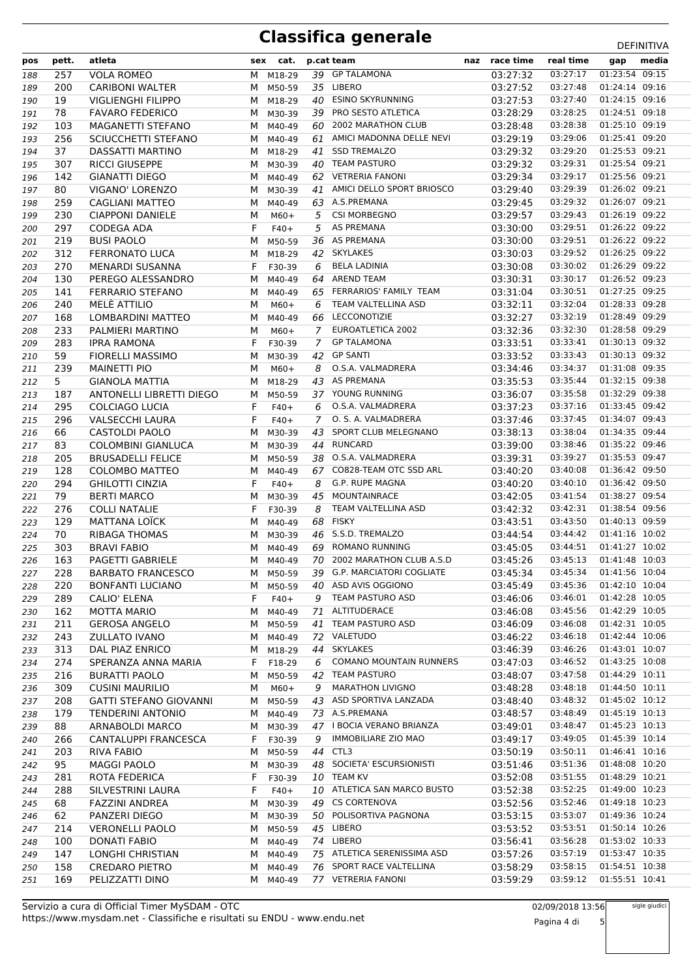| pos | pett. | atleta                         |    | sex cat.         |    | p.cat team                                                   | naz race time | real time | gap            | media |
|-----|-------|--------------------------------|----|------------------|----|--------------------------------------------------------------|---------------|-----------|----------------|-------|
| 188 | 257   | <b>VOLA ROMEO</b>              | М  | M18-29           |    | 39 GP TALAMONA                                               | 03:27:32      | 03:27:17  | 01:23:54 09:15 |       |
| 189 | 200   | <b>CARIBONI WALTER</b>         | м  | M50-59           | 35 | LIBERO                                                       | 03:27:52      | 03:27:48  | 01:24:14 09:16 |       |
| 190 | 19    | <b>VIGLIENGHI FILIPPO</b>      | м  | M18-29           | 40 | <b>ESINO SKYRUNNING</b>                                      | 03:27:53      | 03:27:40  | 01:24:15 09:16 |       |
| 191 | 78    | <b>FAVARO FEDERICO</b>         | м  | M30-39           |    | 39 PRO SESTO ATLETICA                                        | 03:28:29      | 03:28:25  | 01:24:51 09:18 |       |
| 192 | 103   | MAGANETTI STEFANO              | м  | M40-49           | 60 | 2002 MARATHON CLUB                                           | 03:28:48      | 03:28:38  | 01:25:10 09:19 |       |
| 193 | 256   | SCIUCCHETTI STEFANO            | м  | M40-49           | 61 | AMICI MADONNA DELLE NEVI                                     | 03:29:19      | 03:29:06  | 01:25:41 09:20 |       |
| 194 | 37    | DASSATTI MARTINO               | М  | M18-29           | 41 | <b>SSD TREMALZO</b>                                          | 03:29:32      | 03:29:20  | 01:25:53 09:21 |       |
| 195 | 307   | <b>RICCI GIUSEPPE</b>          | м  | M30-39           | 40 | <b>TEAM PASTURO</b>                                          | 03:29:32      | 03:29:31  | 01:25:54 09:21 |       |
| 196 | 142   | <b>GIANATTI DIEGO</b>          | м  | M40-49           | 62 | <b>VETRERIA FANONI</b>                                       | 03:29:34      | 03:29:17  | 01:25:56 09:21 |       |
| 197 | 80    | VIGANO' LORENZO                | м  | M30-39           | 41 | AMICI DELLO SPORT BRIOSCO                                    | 03:29:40      | 03:29:39  | 01:26:02 09:21 |       |
| 198 | 259   | CAGLIANI MATTEO                | м  | M40-49           |    | 63 A.S.PREMANA                                               | 03:29:45      | 03:29:32  | 01:26:07 09:21 |       |
| 199 | 230   | <b>CIAPPONI DANIELE</b>        | м  | $M60+$           | 5  | <b>CSI MORBEGNO</b>                                          | 03:29:57      | 03:29:43  | 01:26:19 09:22 |       |
| 200 | 297   | CODEGA ADA                     | F  | $F40+$           | 5  | AS PREMANA                                                   | 03:30:00      | 03:29:51  | 01:26:22 09:22 |       |
| 201 | 219   | <b>BUSI PAOLO</b>              | м  | M50-59           | 36 | AS PREMANA                                                   | 03:30:00      | 03:29:51  | 01:26:22 09:22 |       |
| 202 | 312   | <b>FERRONATO LUCA</b>          | м  | M18-29           | 42 | <b>SKYLAKES</b>                                              | 03:30:03      | 03:29:52  | 01:26:25 09:22 |       |
| 203 | 270   | <b>MENARDI SUSANNA</b>         | F  | F30-39           | 6  | <b>BELA LADINIA</b>                                          | 03:30:08      | 03:30:02  | 01:26:29 09:22 |       |
| 204 | 130   | PEREGO ALESSANDRO              | м  | M40-49           | 64 | <b>AREND TEAM</b>                                            | 03:30:31      | 03:30:17  | 01:26:52 09:23 |       |
| 205 | 141   | <b>FERRARIO STEFANO</b>        | м  | M40-49           | 65 | FERRARIOS' FAMILY TEAM                                       | 03:31:04      | 03:30:51  | 01:27:25 09:25 |       |
| 206 | 240   | MELÉ ATTILIO                   | М  | $M60+$           | 6  | TEAM VALTELLINA ASD                                          | 03:32:11      | 03:32:04  | 01:28:33 09:28 |       |
|     | 168   | LOMBARDINI MATTEO              | м  |                  | 66 | LECCONOTIZIE                                                 | 03:32:27      | 03:32:19  | 01:28:49 09:29 |       |
| 207 | 233   | PALMIERI MARTINO               |    | M40-49           | 7  | <b>EUROATLETICA 2002</b>                                     | 03:32:36      | 03:32:30  | 01:28:58 09:29 |       |
| 208 | 283   |                                | м  | $M60+$<br>F30-39 |    | <b>GP TALAMONA</b>                                           | 03:33:51      | 03:33:41  | 01:30:13 09:32 |       |
| 209 |       | <b>IPRA RAMONA</b>             | F  |                  | 7  | <b>GP SANTI</b>                                              | 03:33:52      |           | 01:30:13 09:32 |       |
| 210 | 59    | <b>FIORELLI MASSIMO</b>        | м  | M30-39           | 42 |                                                              |               | 03:33:43  | 01:31:08 09:35 |       |
| 211 | 239   | <b>MAINETTI PIO</b>            | м  | $M60+$           | 8  | O.S.A. VALMADRERA                                            | 03:34:46      | 03:34:37  | 01:32:15 09:38 |       |
| 212 | 5     | <b>GIANOLA MATTIA</b>          | м  | M18-29           |    | 43 AS PREMANA                                                | 03:35:53      | 03:35:44  |                |       |
| 213 | 187   | ANTONELLI LIBRETTI DIEGO       | м  | M50-59           |    | 37 YOUNG RUNNING                                             | 03:36:07      | 03:35:58  | 01:32:29 09:38 |       |
| 214 | 295   | COLCIAGO LUCIA                 | F  | $F40+$           | 6  | O.S.A. VALMADRERA                                            | 03:37:23      | 03:37:16  | 01:33:45 09:42 |       |
| 215 | 296   | <b>VALSECCHI LAURA</b>         | F  | $F40+$           | 7  | O. S. A. VALMADRERA                                          | 03:37:46      | 03:37:45  | 01:34:07 09:43 |       |
| 216 | 66    | <b>CASTOLDI PAOLO</b>          | м  | M30-39           | 43 | SPORT CLUB MELEGNANO                                         | 03:38:13      | 03:38:04  | 01:34:35 09:44 |       |
| 217 | 83    | <b>COLOMBINI GIANLUCA</b>      | м  | M30-39           | 44 | <b>RUNCARD</b>                                               | 03:39:00      | 03:38:46  | 01:35:22 09:46 |       |
| 218 | 205   | <b>BRUSADELLI FELICE</b>       | м  | M50-59           | 38 | O.S.A. VALMADRERA                                            | 03:39:31      | 03:39:27  | 01:35:53 09:47 |       |
| 219 | 128   | COLOMBO MATTEO                 | м  | M40-49           |    | 67 CO828-TEAM OTC SSD ARL                                    | 03:40:20      | 03:40:08  | 01:36:42 09:50 |       |
| 220 | 294   | <b>GHILOTTI CINZIA</b>         | F  | $F40+$           | 8  | G.P. RUPE MAGNA                                              | 03:40:20      | 03:40:10  | 01:36:42 09:50 |       |
| 221 | 79    | <b>BERTI MARCO</b>             | м  | M30-39           |    | 45 MOUNTAINRACE                                              | 03:42:05      | 03:41:54  | 01:38:27 09:54 |       |
| 222 | 276   | <b>COLLI NATALIE</b>           | F  | F30-39           | 8  | TEAM VALTELLINA ASD                                          | 03:42:32      | 03:42:31  | 01:38:54 09:56 |       |
| 223 | 129   | MATTANA LOÏCK                  | м  | M40-49           | 68 | <b>FISKY</b>                                                 | 03:43:51      | 03:43:50  | 01:40:13 09:59 |       |
| 224 | 70    | <b>RIBAGA THOMAS</b>           | м  | M30-39           |    | 46 S.S.D. TREMALZO                                           | 03:44:54      | 03:44:42  | 01:41:16 10:02 |       |
| 225 | 303   | <b>BRAVI FABIO</b>             | м  | M40-49           | 69 | <b>ROMANO RUNNING</b>                                        | 03:45:05      | 03:44:51  | 01:41:27 10:02 |       |
| 226 | 163   | PAGETTI GABRIELE               |    | M M40-49         |    | 70 2002 MARATHON CLUB A.S.D                                  | 03:45:26      | 03:45:13  | 01:41:48 10:03 |       |
| 227 |       | 228 BARBATO FRANCESCO M M50-59 |    |                  |    | 39 G.P. MARCIATORI COGLIATE 03:45:34 03:45:34 01:41:56 10:04 |               |           |                |       |
| 228 | 220   | <b>BONFANTI LUCIANO</b>        |    | M M50-59         |    | 40 ASD AVIS OGGIONO                                          | 03:45:49      | 03:45:36  | 01:42:10 10:04 |       |
| 229 | 289   | CALIO' ELENA                   | F. | $F40+$           | 9  | TEAM PASTURO ASD                                             | 03:46:06      | 03:46:01  | 01:42:28 10:05 |       |
| 230 | 162   | MOTTA MARIO                    | м  | M40-49           | 71 | ALTITUDERACE                                                 | 03:46:08      | 03:45:56  | 01:42:29 10:05 |       |
| 231 | 211   | <b>GEROSA ANGELO</b>           | м  | M50-59           | 41 | TEAM PASTURO ASD                                             | 03:46:09      | 03:46:08  | 01:42:31 10:05 |       |
| 232 | 243   | <b>ZULLATO IVANO</b>           | м  | M40-49           |    | 72 VALETUDO                                                  | 03:46:22      | 03:46:18  | 01:42:44 10:06 |       |
| 233 | 313   | DAL PIAZ ENRICO                | м  | M18-29           |    | 44 SKYLAKES                                                  | 03:46:39      | 03:46:26  | 01:43:01 10:07 |       |
| 234 | 274   | SPERANZA ANNA MARIA            | F. | F18-29           | 6  | <b>COMANO MOUNTAIN RUNNERS</b>                               | 03:47:03      | 03:46:52  | 01:43:25 10:08 |       |
| 235 | 216   | BURATTI PAOLO                  | м  | M50-59           | 42 | TEAM PASTURO                                                 | 03:48:07      | 03:47:58  | 01:44:29 10:11 |       |
| 236 | 309   | <b>CUSINI MAURILIO</b>         | м  | $M60+$           | 9  | <b>MARATHON LIVIGNO</b>                                      | 03:48:28      | 03:48:18  | 01:44:50 10:11 |       |
| 237 | 208   | GATTI STEFANO GIOVANNI         | м  | M50-59           | 43 | ASD SPORTIVA LANZADA                                         | 03:48:40      | 03:48:32  | 01:45:02 10:12 |       |
| 238 | 179   | TENDERINI ANTONIO              | м  | M40-49           |    | 73 A.S.PREMANA                                               | 03:48:57      | 03:48:49  | 01:45:19 10:13 |       |
| 239 | 88    | ARNABOLDI MARCO                | м  | M30-39           |    | 47   BOCIA VERANO BRIANZA                                    | 03:49:01      | 03:48:47  | 01:45:23 10:13 |       |
| 240 | 266   | CANTALUPPI FRANCESCA           | F. | F30-39           | 9  | <b>IMMOBILIARE ZIO MAO</b>                                   | 03:49:17      | 03:49:05  | 01:45:39 10:14 |       |
| 241 | 203   | RIVA FABIO                     | м  | M50-59           | 44 | CTL3                                                         | 03:50:19      | 03:50:11  | 01:46:41 10:16 |       |
| 242 | 95    | <b>MAGGI PAOLO</b>             | м  | M30-39           |    | 48 SOCIETA' ESCURSIONISTI                                    | 03:51:46      | 03:51:36  | 01:48:08 10:20 |       |
| 243 | 281   | ROTA FEDERICA                  | F. | F30-39           |    | 10 TEAM KV                                                   | 03:52:08      | 03:51:55  | 01:48:29 10:21 |       |
| 244 | 288   | SILVESTRINI LAURA              | F  | $F40+$           | 10 | ATLETICA SAN MARCO BUSTO                                     | 03:52:38      | 03:52:25  | 01:49:00 10:23 |       |
| 245 | 68    | <b>FAZZINI ANDREA</b>          | м  | M30-39           | 49 | <b>CS CORTENOVA</b>                                          | 03:52:56      | 03:52:46  | 01:49:18 10:23 |       |
| 246 | 62    | PANZERI DIEGO                  | м  | M30-39           | 50 | POLISORTIVA PAGNONA                                          | 03:53:15      | 03:53:07  | 01:49:36 10:24 |       |
| 247 | 214   | <b>VERONELLI PAOLO</b>         | м  | M50-59           | 45 | LIBERO                                                       | 03:53:52      | 03:53:51  | 01:50:14 10:26 |       |
| 248 | 100   | DONATI FABIO                   | м  | M40-49           |    | 74 LIBERO                                                    | 03:56:41      | 03:56:28  | 01:53:02 10:33 |       |
| 249 | 147   | LONGHI CHRISTIAN               | м  | M40-49           |    | 75 ATLETICA SERENISSIMA ASD                                  | 03:57:26      | 03:57:19  | 01:53:47 10:35 |       |
| 250 | 158   | <b>CREDARO PIETRO</b>          | м  | M40-49           |    | 76 SPORT RACE VALTELLINA                                     | 03:58:29      | 03:58:15  | 01:54:51 10:38 |       |
| 251 | 169   | PELIZZATTI DINO                |    | M M40-49         |    | 77 VETRERIA FANONI                                           | 03:59:29      | 03:59:12  | 01:55:51 10:41 |       |

02/09/2018 13:56

Pagina 4 di 5